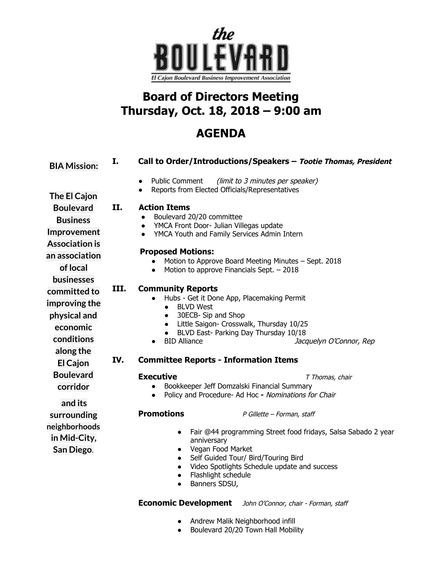

## **Board of Directors Meeting Thursday, Oct. 18, 2018 – 9:00 am**

## **AGENDA**

| <b>BIA Mission:</b>                                                                                                                                                                         | I.          | Call to Order/Introductions/Speakers - Tootie Thomas, President                                                                                                                                                                                                                                                                                                                                                                                                                                                                           |
|---------------------------------------------------------------------------------------------------------------------------------------------------------------------------------------------|-------------|-------------------------------------------------------------------------------------------------------------------------------------------------------------------------------------------------------------------------------------------------------------------------------------------------------------------------------------------------------------------------------------------------------------------------------------------------------------------------------------------------------------------------------------------|
|                                                                                                                                                                                             |             | <b>Public Comment</b><br>(limit to 3 minutes per speaker)<br>$\bullet$<br>Reports from Elected Officials/Representatives                                                                                                                                                                                                                                                                                                                                                                                                                  |
| The El Cajon                                                                                                                                                                                |             |                                                                                                                                                                                                                                                                                                                                                                                                                                                                                                                                           |
| <b>Boulevard</b><br><b>Business</b><br>Improvement<br><b>Association is</b><br>an association<br>of local<br><b>businesses</b><br>committed to<br>improving the<br>physical and<br>economic | II.<br>III. | <b>Action Items</b><br>Boulevard 20/20 committee<br>YMCA Front Door- Julian Villegas update<br>$\bullet$<br>YMCA Youth and Family Services Admin Intern<br>$\bullet$<br><b>Proposed Motions:</b><br>Motion to Approve Board Meeting Minutes - Sept. 2018<br>Motion to approve Financials Sept. - 2018<br>$\bullet$<br><b>Community Reports</b><br>Hubs - Get it Done App, Placemaking Permit<br><b>BLVD West</b><br>30ECB- Sip and Shop<br>Little Saigon- Crosswalk, Thursday 10/25<br>$\bullet$<br>BLVD East- Parking Day Thursday 10/18 |
| conditions                                                                                                                                                                                  |             | <b>BID Alliance</b><br>Jacquelyn O'Connor, Rep                                                                                                                                                                                                                                                                                                                                                                                                                                                                                            |
| along the<br><b>El Cajon</b>                                                                                                                                                                | IV.         | <b>Committee Reports - Information Items</b>                                                                                                                                                                                                                                                                                                                                                                                                                                                                                              |
| <b>Boulevard</b><br>corridor<br>and its                                                                                                                                                     |             | <b>Executive</b><br>T Thomas, chair<br>Bookkeeper Jeff Domzalski Financial Summary<br>Policy and Procedure- Ad Hoc - Nominations for Chair                                                                                                                                                                                                                                                                                                                                                                                                |
| surrounding<br>neighborhoods<br>in Mid-City,<br>San Diego.                                                                                                                                  |             | <b>Promotions</b><br>P Gillette - Forman, staff<br>Fair @44 programming Street food fridays, Salsa Sabado 2 year<br>$\bullet$<br>anniversary<br>Vegan Food Market<br>$\bullet$<br>Self Guided Tour/ Bird/Touring Bird<br>$\bullet$<br>Video Spotlights Schedule update and success<br>$\bullet$<br>Flashlight schedule<br>$\bullet$<br>Banners SDSU,<br>$\bullet$                                                                                                                                                                         |
|                                                                                                                                                                                             |             | <b>Economic Development</b><br>John O'Connor, chair - Forman, staff                                                                                                                                                                                                                                                                                                                                                                                                                                                                       |

- Andrew Malik Neighborhood infill
- Boulevard 20/20 Town Hall Mobility